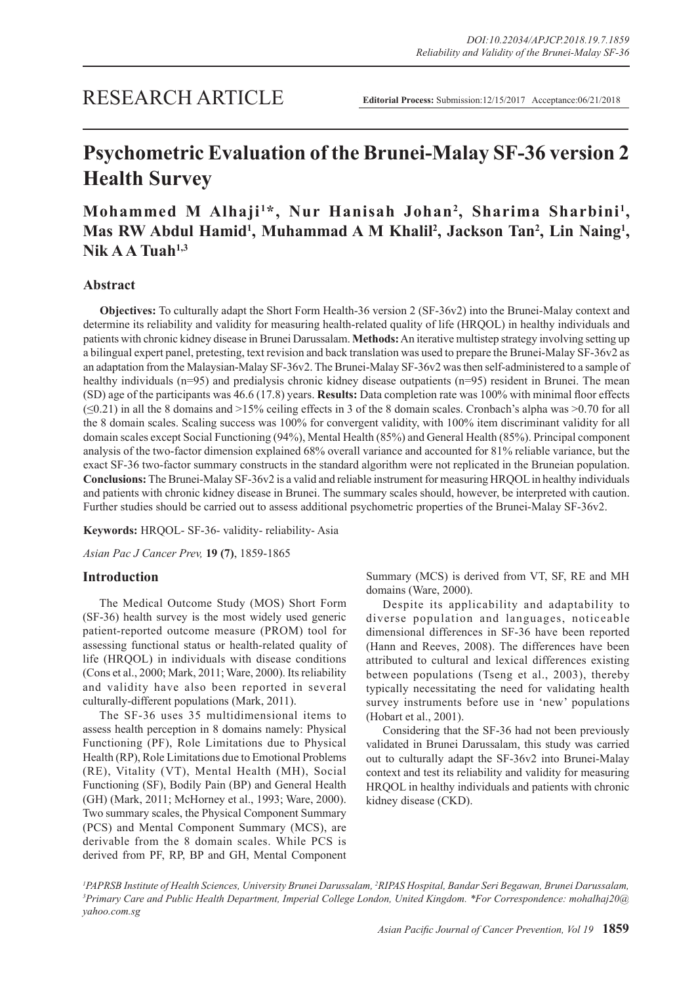# **Psychometric Evaluation of the Brunei-Malay SF-36 version 2 Health Survey**

# **Mohammed M Alhaji<sup>1\*</sup>, Nur Hanisah Johan<sup>2</sup>, Sharima Sharbini<sup>1</sup>,** Mas RW Abdul Hamid<sup>1</sup>, Muhammad A M Khalil<sup>2</sup>, Jackson Tan<sup>2</sup>, Lin Naing<sup>1</sup>, **Nik A A Tuah1,3**

# **Abstract**

**Objectives:** To culturally adapt the Short Form Health-36 version 2 (SF-36v2) into the Brunei-Malay context and determine its reliability and validity for measuring health-related quality of life (HRQOL) in healthy individuals and patients with chronic kidney disease in Brunei Darussalam. **Methods:** An iterative multistep strategy involving setting up a bilingual expert panel, pretesting, text revision and back translation was used to prepare the Brunei-Malay SF-36v2 as an adaptation from the Malaysian-Malay SF-36v2. The Brunei-Malay SF-36v2 was then self-administered to a sample of healthy individuals (n=95) and predialysis chronic kidney disease outpatients (n=95) resident in Brunei. The mean (SD) age of the participants was 46.6 (17.8) years. **Results:** Data completion rate was 100% with minimal floor effects  $(\leq 0.21)$  in all the 8 domains and  $>15\%$  ceiling effects in 3 of the 8 domain scales. Cronbach's alpha was  $>0.70$  for all the 8 domain scales. Scaling success was 100% for convergent validity, with 100% item discriminant validity for all domain scales except Social Functioning (94%), Mental Health (85%) and General Health (85%). Principal component analysis of the two-factor dimension explained 68% overall variance and accounted for 81% reliable variance, but the exact SF-36 two-factor summary constructs in the standard algorithm were not replicated in the Bruneian population. **Conclusions:** The Brunei-Malay SF-36v2 is a valid and reliable instrument for measuring HRQOL in healthy individuals and patients with chronic kidney disease in Brunei. The summary scales should, however, be interpreted with caution. Further studies should be carried out to assess additional psychometric properties of the Brunei-Malay SF-36v2.

**Keywords:** HRQOL- SF-36- validity- reliability- Asia

*Asian Pac J Cancer Prev,* **19 (7)**, 1859-1865

# **Introduction**

The Medical Outcome Study (MOS) Short Form (SF-36) health survey is the most widely used generic patient-reported outcome measure (PROM) tool for assessing functional status or health-related quality of life (HRQOL) in individuals with disease conditions (Cons et al., 2000; Mark, 2011; Ware, 2000). Its reliability and validity have also been reported in several culturally-different populations (Mark, 2011).

The SF-36 uses 35 multidimensional items to assess health perception in 8 domains namely: Physical Functioning (PF), Role Limitations due to Physical Health (RP), Role Limitations due to Emotional Problems (RE), Vitality (VT), Mental Health (MH), Social Functioning (SF), Bodily Pain (BP) and General Health (GH) (Mark, 2011; McHorney et al., 1993; Ware, 2000). Two summary scales, the Physical Component Summary (PCS) and Mental Component Summary (MCS), are derivable from the 8 domain scales. While PCS is derived from PF, RP, BP and GH, Mental Component

Summary (MCS) is derived from VT, SF, RE and MH domains (Ware, 2000).

Despite its applicability and adaptability to diverse population and languages, noticeable dimensional differences in SF-36 have been reported (Hann and Reeves, 2008). The differences have been attributed to cultural and lexical differences existing between populations (Tseng et al., 2003), thereby typically necessitating the need for validating health survey instruments before use in 'new' populations (Hobart et al., 2001).

Considering that the SF-36 had not been previously validated in Brunei Darussalam, this study was carried out to culturally adapt the SF-36v2 into Brunei-Malay context and test its reliability and validity for measuring HRQOL in healthy individuals and patients with chronic kidney disease (CKD).

<sup>1</sup>PAPRSB Institute of Health Sciences, University Brunei Darussalam, <sup>2</sup>RIPAS Hospital, Bandar Seri Begawan, Brunei Darussalam,<br><sup>3</sup>Primary Care and Public Health Department Imperial College London, United Kingdom, \*Eor Co *Primary Care and Public Health Department, Imperial College London, United Kingdom. \*For Correspondence: mohalhaj20@ yahoo.com.sg*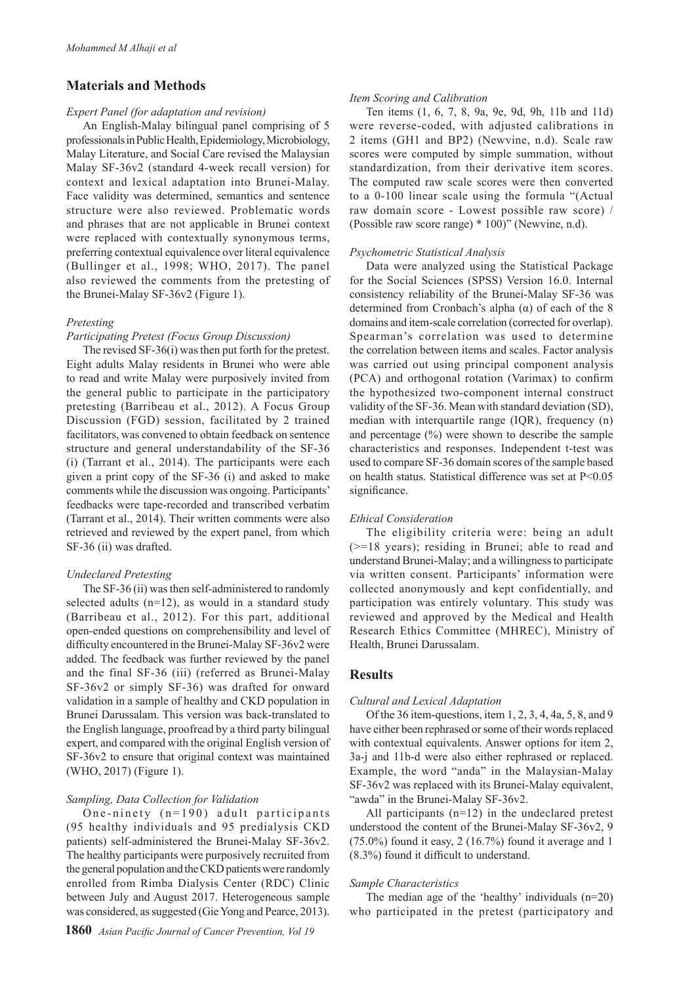# **Materials and Methods**

#### *Expert Panel (for adaptation and revision)*

An English-Malay bilingual panel comprising of 5 professionals in Public Health, Epidemiology, Microbiology, Malay Literature, and Social Care revised the Malaysian Malay SF-36v2 (standard 4-week recall version) for context and lexical adaptation into Brunei-Malay. Face validity was determined, semantics and sentence structure were also reviewed. Problematic words and phrases that are not applicable in Brunei context were replaced with contextually synonymous terms, preferring contextual equivalence over literal equivalence (Bullinger et al., 1998; WHO, 2017). The panel also reviewed the comments from the pretesting of the Brunei-Malay SF-36v2 (Figure 1).

#### *Pretesting*

#### *Participating Pretest (Focus Group Discussion)*

The revised SF-36(i) was then put forth for the pretest. Eight adults Malay residents in Brunei who were able to read and write Malay were purposively invited from the general public to participate in the participatory pretesting (Barribeau et al., 2012). A Focus Group Discussion (FGD) session, facilitated by 2 trained facilitators, was convened to obtain feedback on sentence structure and general understandability of the SF-36 (i) (Tarrant et al., 2014). The participants were each given a print copy of the SF-36 (i) and asked to make comments while the discussion was ongoing. Participants' feedbacks were tape-recorded and transcribed verbatim (Tarrant et al., 2014). Their written comments were also retrieved and reviewed by the expert panel, from which SF-36 (ii) was drafted.

# *Undeclared Pretesting*

The SF-36 (ii) was then self-administered to randomly selected adults  $(n=12)$ , as would in a standard study (Barribeau et al., 2012). For this part, additional open-ended questions on comprehensibility and level of difficulty encountered in the Brunei-Malay SF-36v2 were added. The feedback was further reviewed by the panel and the final SF-36 (iii) (referred as Brunei-Malay SF-36v2 or simply SF-36) was drafted for onward validation in a sample of healthy and CKD population in Brunei Darussalam. This version was back-translated to the English language, proofread by a third party bilingual expert, and compared with the original English version of SF-36v2 to ensure that original context was maintained (WHO, 2017) (Figure 1).

# *Sampling, Data Collection for Validation*

One-ninety  $(n=190)$  adult participants (95 healthy individuals and 95 predialysis CKD patients) self-administered the Brunei-Malay SF-36v2. The healthy participants were purposively recruited from the general population and the CKD patients were randomly enrolled from Rimba Dialysis Center (RDC) Clinic between July and August 2017. Heterogeneous sample was considered, as suggested (Gie Yong and Pearce, 2013).

#### *Item Scoring and Calibration*

Ten items (1, 6, 7, 8, 9a, 9e, 9d, 9h, 11b and 11d) were reverse-coded, with adjusted calibrations in 2 items (GH1 and BP2) (Newvine, n.d). Scale raw scores were computed by simple summation, without standardization, from their derivative item scores. The computed raw scale scores were then converted to a 0-100 linear scale using the formula "(Actual raw domain score - Lowest possible raw score) / (Possible raw score range) \* 100)" (Newvine, n.d).

#### *Psychometric Statistical Analysis*

Data were analyzed using the Statistical Package for the Social Sciences (SPSS) Version 16.0. Internal consistency reliability of the Brunei-Malay SF-36 was determined from Cronbach's alpha  $(\alpha)$  of each of the 8 domains and item-scale correlation (corrected for overlap). Spearman's correlation was used to determine the correlation between items and scales. Factor analysis was carried out using principal component analysis (PCA) and orthogonal rotation (Varimax) to confirm the hypothesized two-component internal construct validity of the SF-36. Mean with standard deviation (SD), median with interquartile range (IQR), frequency (n) and percentage (%) were shown to describe the sample characteristics and responses. Independent t-test was used to compare SF-36 domain scores of the sample based on health status. Statistical difference was set at P<0.05 significance.

#### *Ethical Consideration*

The eligibility criteria were: being an adult (>=18 years); residing in Brunei; able to read and understand Brunei-Malay; and a willingness to participate via written consent. Participants' information were collected anonymously and kept confidentially, and participation was entirely voluntary. This study was reviewed and approved by the Medical and Health Research Ethics Committee (MHREC), Ministry of Health, Brunei Darussalam.

# **Results**

#### *Cultural and Lexical Adaptation*

Of the 36 item-questions, item 1, 2, 3, 4, 4a, 5, 8, and 9 have either been rephrased or some of their words replaced with contextual equivalents. Answer options for item 2, 3a-j and 11b-d were also either rephrased or replaced. Example, the word "anda" in the Malaysian-Malay SF-36v2 was replaced with its Brunei-Malay equivalent, "awda" in the Brunei-Malay SF-36v2.

All participants  $(n=12)$  in the undeclared pretest understood the content of the Brunei-Malay SF-36v2, 9  $(75.0\%)$  found it easy, 2  $(16.7\%)$  found it average and 1 (8.3%) found it difficult to understand.

# *Sample Characteristics*

The median age of the 'healthy' individuals (n=20) who participated in the pretest (participatory and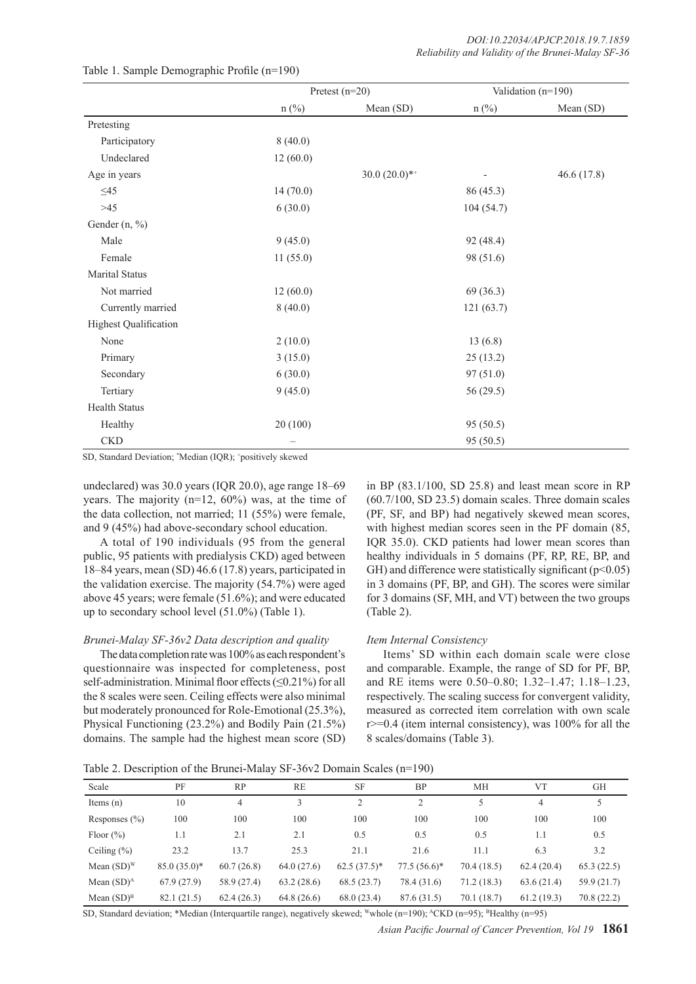|                              |          | Pretest $(n=20)$ |           | Validation (n=190) |
|------------------------------|----------|------------------|-----------|--------------------|
|                              | $n$ (%)  | Mean (SD)        | $n$ (%)   | Mean (SD)          |
| Pretesting                   |          |                  |           |                    |
| Participatory                | 8(40.0)  |                  |           |                    |
| Undeclared                   | 12(60.0) |                  |           |                    |
| Age in years                 |          | $30.0(20.0)*$    |           | 46.6(17.8)         |
| $\leq 45$                    | 14(70.0) |                  | 86(45.3)  |                    |
| $>45$                        | 6(30.0)  |                  | 104(54.7) |                    |
| Gender (n, %)                |          |                  |           |                    |
| Male                         | 9(45.0)  |                  | 92 (48.4) |                    |
| Female                       | 11(55.0) |                  | 98 (51.6) |                    |
| Marital Status               |          |                  |           |                    |
| Not married                  | 12(60.0) |                  | 69(36.3)  |                    |
| Currently married            | 8(40.0)  |                  | 121(63.7) |                    |
| <b>Highest Qualification</b> |          |                  |           |                    |
| None                         | 2(10.0)  |                  | 13(6.8)   |                    |
| Primary                      | 3(15.0)  |                  | 25(13.2)  |                    |
| Secondary                    | 6(30.0)  |                  | 97(51.0)  |                    |
| Tertiary                     | 9(45.0)  |                  | 56 (29.5) |                    |
| <b>Health Status</b>         |          |                  |           |                    |
| Healthy                      | 20 (100) |                  | 95 (50.5) |                    |
| <b>CKD</b>                   |          |                  | 95 (50.5) |                    |

#### Table 1. Sample Demographic Profile (n=190)

SD, Standard Deviation; \* Median (IQR); + positively skewed

undeclared) was 30.0 years (IQR 20.0), age range 18–69 years. The majority  $(n=12, 60\%)$  was, at the time of the data collection, not married; 11 (55%) were female, and 9 (45%) had above-secondary school education.

A total of 190 individuals (95 from the general public, 95 patients with predialysis CKD) aged between 18–84 years, mean (SD) 46.6 (17.8) years, participated in the validation exercise. The majority (54.7%) were aged above 45 years; were female (51.6%); and were educated up to secondary school level (51.0%) (Table 1).

#### *Brunei-Malay SF-36v2 Data description and quality*

The data completion rate was 100% as each respondent's questionnaire was inspected for completeness, post self-administration. Minimal floor effects (≤0.21%) for all the 8 scales were seen. Ceiling effects were also minimal but moderately pronounced for Role-Emotional (25.3%), Physical Functioning (23.2%) and Bodily Pain (21.5%) domains. The sample had the highest mean score (SD) in BP (83.1/100, SD 25.8) and least mean score in RP (60.7/100, SD 23.5) domain scales. Three domain scales (PF, SF, and BP) had negatively skewed mean scores, with highest median scores seen in the PF domain (85, IQR 35.0). CKD patients had lower mean scores than healthy individuals in 5 domains (PF, RP, RE, BP, and GH) and difference were statistically significant  $(p<0.05)$ in 3 domains (PF, BP, and GH). The scores were similar for 3 domains (SF, MH, and VT) between the two groups (Table 2).

#### *Item Internal Consistency*

Items' SD within each domain scale were close and comparable. Example, the range of SD for PF, BP, and RE items were 0.50–0.80; 1.32–1.47; 1.18–1.23, respectively. The scaling success for convergent validity, measured as corrected item correlation with own scale  $r \geq 0.4$  (item internal consistency), was 100% for all the 8 scales/domains (Table 3).

Table 2. Description of the Brunei-Malay SF-36v2 Domain Scales (n=190)

| Scale             | PF            | <b>RP</b>   | <b>RE</b>  | <b>SF</b>      | <b>BP</b>      | МH          | <b>VT</b>  | <b>GH</b>   |
|-------------------|---------------|-------------|------------|----------------|----------------|-------------|------------|-------------|
| Items $(n)$       | 10            | 4           | 3          | 2              | 2              |             | 4          |             |
| Responses $(\% )$ | 100           | 100         | 100        | 100            | 100            | 100         | 100        | 100         |
| Floor $(\% )$     | 1.1           | 2.1         | 2.1        | 0.5            | 0.5            | 0.5         | 1.1        | 0.5         |
| Ceiling $(\% )$   | 23.2          | 13.7        | 25.3       | 21.1           | 21.6           | 11.1        | 6.3        | 3.2         |
| Mean $(SD)^{W}$   | $85.0(35.0)*$ | 60.7(26.8)  | 64.0(27.6) | $62.5(37.5)^*$ | $77.5(56.6)^*$ | 70.4 (18.5) | 62.4(20.4) | 65.3(22.5)  |
| Mean $(SD)^A$     | 67.9(27.9)    | 58.9 (27.4) | 63.2(28.6) | 68.5(23.7)     | 78.4 (31.6)    | 71.2(18.3)  | 63.6(21.4) | 59.9 (21.7) |
| Mean $(SD)^B$     | 82.1 (21.5)   | 62.4(26.3)  | 64.8(26.6) | 68.0(23.4)     | 87.6 (31.5)    | 70.1 (18.7) | 61.2(19.3) | 70.8 (22.2) |

SD, Standard deviation; \*Median (Interquartile range), negatively skewed; Wwhole (n=190); ^CKD (n=95); <sup>B</sup>Healthy (n=95)

*Asian Pacific Journal of Cancer Prevention, Vol 19* **1861**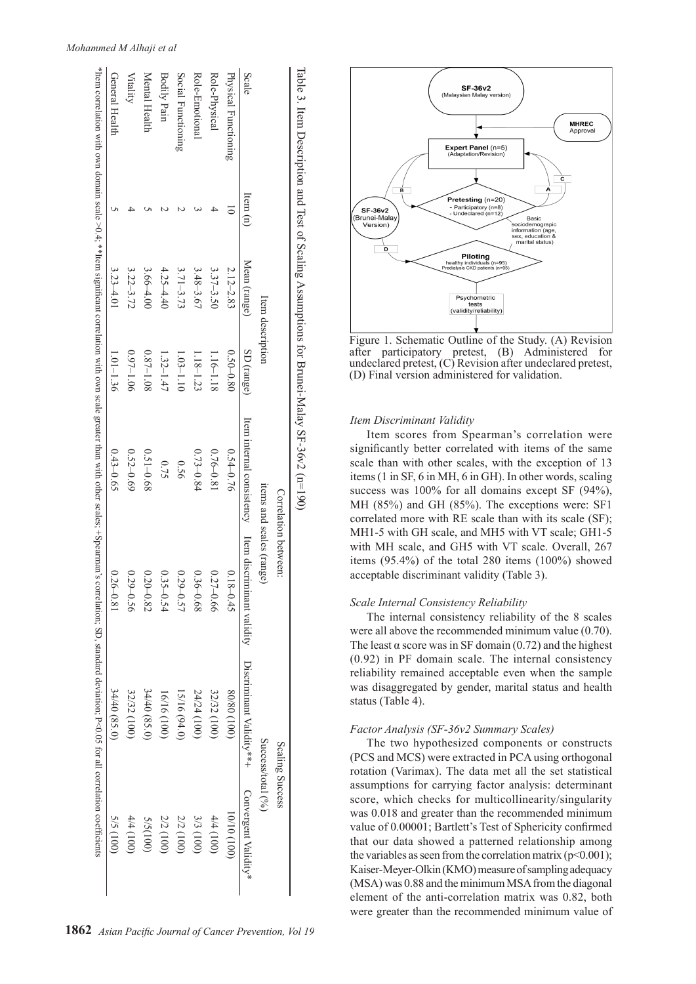|                      |          |                  |               |               | Correlation between:                                                                                                          | Scaling Success   |                      |
|----------------------|----------|------------------|---------------|---------------|-------------------------------------------------------------------------------------------------------------------------------|-------------------|----------------------|
|                      |          | Item description |               |               | items and scales (range)                                                                                                      | Success/total (%) |                      |
| Scale                | [tem(n)] | Mean (range)     | SD (range)    |               | Item internal consistence of the magnetic split of the magnetic service of the set of the set of the set of the set of $\sim$ |                   | Convergent Validity* |
| Physical Functioning |          | $2.12 - 2.83$    | $0.50 - 0.80$ | $0.54 - 0.76$ | $0.18 - 0.45$                                                                                                                 | (001) 08/08       | (001) 01/01          |
| Role-Physical        |          | $3.37 - 3.50$    | 1.16-1.18     | $0.76 - 0.81$ | $0.27 - 0.66$                                                                                                                 | 32/32 (100)       | 4/4(100)             |
| Role-Emotional       |          | $3.48 - 3.67$    | $1.18 - 1.23$ | $0.73 - 0.84$ | $0.36 - 0.68$                                                                                                                 | $24/24$ (100)     | 3/3 (100)            |
| Social Functioning   |          | $3.71 - 3.73$    | $1.03 - 1.10$ | 0.56          | $0.29 - 0.57$                                                                                                                 | $15/16$ $(94.0)$  | 2/2 (100)            |
| <b>Bodily Pain</b>   |          | $4.25 - 4.40$    | $1.32 - 1.47$ | 0.75          | $0.35 - 0.54$                                                                                                                 | $16/16$ (100)     | 2/2 (100)            |
| Mental Health        |          | $3.66 - 4.00$    | $0.87 - 1.08$ | $0.51 - 0.68$ | $0.20 - 0.82$                                                                                                                 | 34/40 (85.0)      | 5/5(100)             |
| Vitality             |          | $3.22 - 3.72$    | $0.97 - 1.06$ | $0.52 - 0.69$ | $0.29 - 0.56$                                                                                                                 | 32/32 (100)       | $4/4$ (100)          |
| General Health       |          | $3.23 - 4.01$    | $1.01 - 1.36$ | $0.43 - 0.65$ | $0.26 - 0.81$                                                                                                                 | $34/40$ (85.0)    | $5/5$ (100)          |



Figure 1. Schematic Outline of the Study. (A) Revision after participatory pretest, (B) Administered for undeclared pretest, (C) Revision after undeclared pretest, (D) Final version administered for validation.

# *Item Discriminant Validity*

Item scores from Spearman's correlation were significantly better correlated with items of the same scale than with other scales, with the exception of 13 items (1 in SF, 6 in MH, 6 in GH). In other words, scaling success was 100% for all domains except SF (94%), MH (85%) and GH (85%). The exceptions were: SF1 correlated more with RE scale than with its scale (SF); MH1-5 with GH scale, and MH5 with VT scale; GH1-5 with MH scale, and GH5 with VT scale. Overall, 267 items (95.4%) of the total 280 items (100%) showed acceptable discriminant validity (Table 3).

# *Scale Internal Consistency Reliability*

The internal consistency reliability of the 8 scales were all above the recommended minimum value (0.70). The least  $\alpha$  score was in SF domain (0.72) and the highest (0.92) in PF domain scale. The internal consistency reliability remained acceptable even when the sample was disaggregated by gender, marital status and health status (Table 4).

# *Factor Analysis (SF-36v2 Summary Scales)*

The two hypothesized components or constructs (PCS and MCS) were extracted in PCA using orthogonal rotation (Varimax). The data met all the set statistical assumptions for carrying factor analysis: determinant score, which checks for multicollinearity/singularity was 0.018 and greater than the recommended minimum value of 0.00001; Bartlett's Test of Sphericity confirmed that our data showed a patterned relationship among the variables as seen from the correlation matrix  $(p<0.001)$ ; Kaiser-Meyer-Olkin (KMO) measure of sampling adequacy (MSA) was 0.88 and the minimum MSA from the diagonal element of the anti-correlation matrix was 0.82, both were greater than the recommended minimum value of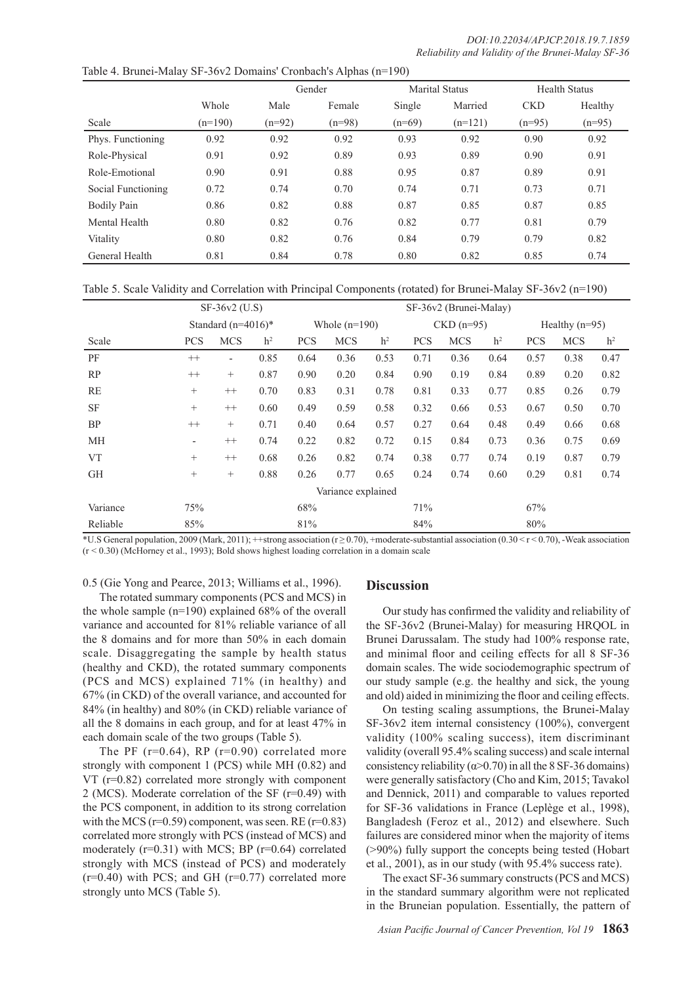|                    |           |          | Gender   |          | <b>Marital Status</b> |            | <b>Health Status</b> |
|--------------------|-----------|----------|----------|----------|-----------------------|------------|----------------------|
|                    | Whole     | Male     | Female   | Single   | Married               | <b>CKD</b> | Healthy              |
| Scale              | $(n=190)$ | $(n=92)$ | $(n=98)$ | $(n=69)$ | $(n=121)$             | $(n=95)$   | $(n=95)$             |
| Phys. Functioning  | 0.92      | 0.92     | 0.92     | 0.93     | 0.92                  | 0.90       | 0.92                 |
| Role-Physical      | 0.91      | 0.92     | 0.89     | 0.93     | 0.89                  | 0.90       | 0.91                 |
| Role-Emotional     | 0.90      | 0.91     | 0.88     | 0.95     | 0.87                  | 0.89       | 0.91                 |
| Social Functioning | 0.72      | 0.74     | 0.70     | 0.74     | 0.71                  | 0.73       | 0.71                 |
| <b>Bodily Pain</b> | 0.86      | 0.82     | 0.88     | 0.87     | 0.85                  | 0.87       | 0.85                 |
| Mental Health      | 0.80      | 0.82     | 0.76     | 0.82     | 0.77                  | 0.81       | 0.79                 |
| Vitality           | 0.80      | 0.82     | 0.76     | 0.84     | 0.79                  | 0.79       | 0.82                 |
| General Health     | 0.81      | 0.84     | 0.78     | 0.80     | 0.82                  | 0.85       | 0.74                 |

Table 4. Brunei-Malay SF-36v2 Domains' Cronbach's Alphas (n=190)

Table 5. Scale Validity and Correlation with Principal Components (rotated) for Brunei-Malay SF-36v2 (n=190)

|                    |                          | SF-36v2 (U.S)            |                |                 | SF-36v2 (Brunei-Malay) |                |             |            |                |                  |            |                |
|--------------------|--------------------------|--------------------------|----------------|-----------------|------------------------|----------------|-------------|------------|----------------|------------------|------------|----------------|
|                    |                          | Standard $(n=4016)^*$    |                | Whole $(n=190)$ |                        |                | $CKD(n=95)$ |            |                | Healthy $(n=95)$ |            |                |
| Scale              | <b>PCS</b>               | <b>MCS</b>               | h <sup>2</sup> | <b>PCS</b>      | <b>MCS</b>             | h <sup>2</sup> | <b>PCS</b>  | <b>MCS</b> | h <sup>2</sup> | <b>PCS</b>       | <b>MCS</b> | h <sup>2</sup> |
| PF                 | $++$                     | $\overline{\phantom{0}}$ | 0.85           | 0.64            | 0.36                   | 0.53           | 0.71        | 0.36       | 0.64           | 0.57             | 0.38       | 0.47           |
| RP                 | $^{++}$                  | $^{+}$                   | 0.87           | 0.90            | 0.20                   | 0.84           | 0.90        | 0.19       | 0.84           | 0.89             | 0.20       | 0.82           |
| <b>RE</b>          | $^{+}$                   | $^{++}$                  | 0.70           | 0.83            | 0.31                   | 0.78           | 0.81        | 0.33       | 0.77           | 0.85             | 0.26       | 0.79           |
| <b>SF</b>          | $\! + \!\!\!\!$          | $^{++}$                  | 0.60           | 0.49            | 0.59                   | 0.58           | 0.32        | 0.66       | 0.53           | 0.67             | 0.50       | 0.70           |
| <b>BP</b>          | $++$                     | $^{+}$                   | 0.71           | 0.40            | 0.64                   | 0.57           | 0.27        | 0.64       | 0.48           | 0.49             | 0.66       | 0.68           |
| МH                 | $\overline{\phantom{a}}$ | $^{++}$                  | 0.74           | 0.22            | 0.82                   | 0.72           | 0.15        | 0.84       | 0.73           | 0.36             | 0.75       | 0.69           |
| <b>VT</b>          | $+$                      | $++$                     | 0.68           | 0.26            | 0.82                   | 0.74           | 0.38        | 0.77       | 0.74           | 0.19             | 0.87       | 0.79           |
| <b>GH</b>          | $+$                      | $^{+}$                   | 0.88           | 0.26            | 0.77                   | 0.65           | 0.24        | 0.74       | 0.60           | 0.29             | 0.81       | 0.74           |
| Variance explained |                          |                          |                |                 |                        |                |             |            |                |                  |            |                |
| Variance           | 75%                      |                          |                | 68%             |                        |                | 71%         |            |                | 67%              |            |                |
| Reliable           | 85%                      |                          |                | 81%             |                        |                | 84%         |            |                | 80%              |            |                |

\*U.S General population, 2009 (Mark, 2011); ++strong association (r ≥ 0.70), +moderate-substantial association (0.30 < r < 0.70), -Weak association  $(r < 0.30)$  (McHorney et al., 1993); Bold shows highest loading correlation in a domain scale

0.5 (Gie Yong and Pearce, 2013; Williams et al., 1996).

The rotated summary components (PCS and MCS) in the whole sample (n=190) explained 68% of the overall variance and accounted for 81% reliable variance of all the 8 domains and for more than 50% in each domain scale. Disaggregating the sample by health status (healthy and CKD), the rotated summary components (PCS and MCS) explained 71% (in healthy) and 67% (in CKD) of the overall variance, and accounted for 84% (in healthy) and 80% (in CKD) reliable variance of all the 8 domains in each group, and for at least 47% in each domain scale of the two groups (Table 5).

The PF  $(r=0.64)$ , RP  $(r=0.90)$  correlated more strongly with component 1 (PCS) while MH (0.82) and VT (r=0.82) correlated more strongly with component 2 (MCS). Moderate correlation of the SF (r=0.49) with the PCS component, in addition to its strong correlation with the MCS ( $r=0.59$ ) component, was seen. RE ( $r=0.83$ ) correlated more strongly with PCS (instead of MCS) and moderately (r=0.31) with MCS; BP (r=0.64) correlated strongly with MCS (instead of PCS) and moderately  $(r=0.40)$  with PCS; and GH  $(r=0.77)$  correlated more strongly unto MCS (Table 5).

# **Discussion**

Our study has confirmed the validity and reliability of the SF-36v2 (Brunei-Malay) for measuring HRQOL in Brunei Darussalam. The study had 100% response rate, and minimal floor and ceiling effects for all 8 SF-36 domain scales. The wide sociodemographic spectrum of our study sample (e.g. the healthy and sick, the young and old) aided in minimizing the floor and ceiling effects.

On testing scaling assumptions, the Brunei-Malay SF-36v2 item internal consistency (100%), convergent validity (100% scaling success), item discriminant validity (overall 95.4% scaling success) and scale internal consistency reliability ( $\alpha$ >0.70) in all the 8 SF-36 domains) were generally satisfactory (Cho and Kim, 2015; Tavakol and Dennick, 2011) and comparable to values reported for SF-36 validations in France (Leplège et al., 1998), Bangladesh (Feroz et al., 2012) and elsewhere. Such failures are considered minor when the majority of items (>90%) fully support the concepts being tested (Hobart et al., 2001), as in our study (with 95.4% success rate).

The exact SF-36 summary constructs (PCS and MCS) in the standard summary algorithm were not replicated in the Bruneian population. Essentially, the pattern of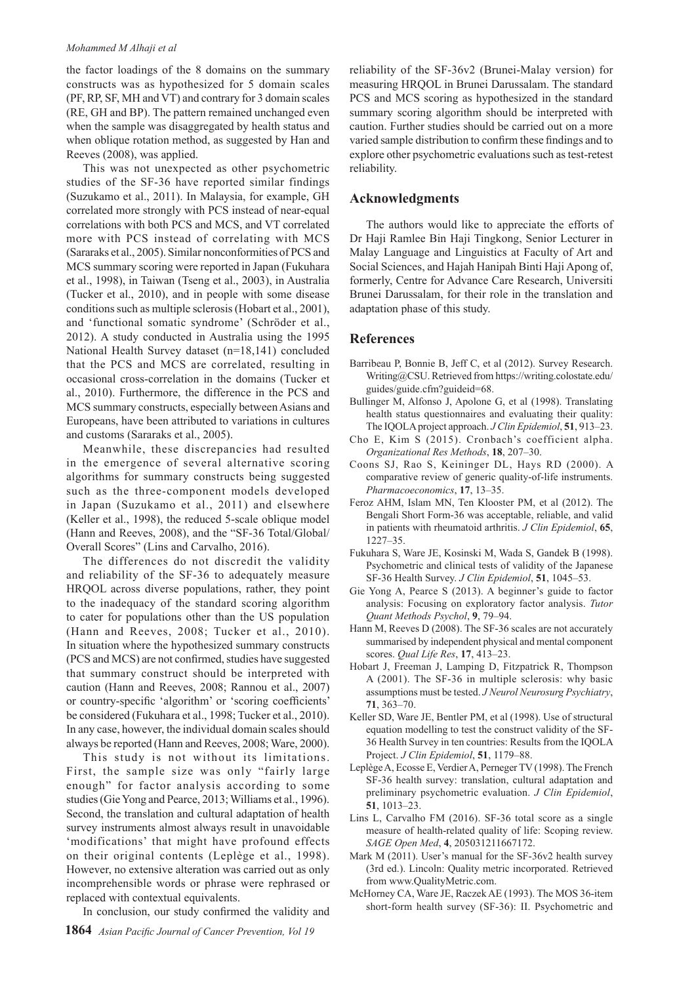#### *Mohammed M Alhaji et al*

the factor loadings of the 8 domains on the summary constructs was as hypothesized for 5 domain scales (PF, RP, SF, MH and VT) and contrary for 3 domain scales (RE, GH and BP). The pattern remained unchanged even when the sample was disaggregated by health status and when oblique rotation method, as suggested by Han and Reeves (2008), was applied.

This was not unexpected as other psychometric studies of the SF-36 have reported similar findings (Suzukamo et al., 2011). In Malaysia, for example, GH correlated more strongly with PCS instead of near-equal correlations with both PCS and MCS, and VT correlated more with PCS instead of correlating with MCS (Sararaks et al., 2005). Similar nonconformities of PCS and MCS summary scoring were reported in Japan (Fukuhara et al., 1998), in Taiwan (Tseng et al., 2003), in Australia (Tucker et al., 2010), and in people with some disease conditions such as multiple sclerosis (Hobart et al., 2001), and 'functional somatic syndrome' (Schröder et al., 2012). A study conducted in Australia using the 1995 National Health Survey dataset (n=18,141) concluded that the PCS and MCS are correlated, resulting in occasional cross-correlation in the domains (Tucker et al., 2010). Furthermore, the difference in the PCS and MCS summary constructs, especially between Asians and Europeans, have been attributed to variations in cultures and customs (Sararaks et al., 2005).

Meanwhile, these discrepancies had resulted in the emergence of several alternative scoring algorithms for summary constructs being suggested such as the three-component models developed in Japan (Suzukamo et al., 2011) and elsewhere (Keller et al., 1998), the reduced 5-scale oblique model (Hann and Reeves, 2008), and the "SF-36 Total/Global/ Overall Scores" (Lins and Carvalho, 2016).

The differences do not discredit the validity and reliability of the SF-36 to adequately measure HRQOL across diverse populations, rather, they point to the inadequacy of the standard scoring algorithm to cater for populations other than the US population (Hann and Reeves, 2008; Tucker et al., 2010). In situation where the hypothesized summary constructs (PCS and MCS) are not confirmed, studies have suggested that summary construct should be interpreted with caution (Hann and Reeves, 2008; Rannou et al., 2007) or country-specific 'algorithm' or 'scoring coefficients' be considered (Fukuhara et al., 1998; Tucker et al., 2010). In any case, however, the individual domain scales should always be reported (Hann and Reeves, 2008; Ware, 2000).

This study is not without its limitations. First, the sample size was only "fairly large enough" for factor analysis according to some studies (Gie Yong and Pearce, 2013; Williams et al., 1996). Second, the translation and cultural adaptation of health survey instruments almost always result in unavoidable 'modifications' that might have profound effects on their original contents (Leplège et al., 1998). However, no extensive alteration was carried out as only incomprehensible words or phrase were rephrased or replaced with contextual equivalents.

In conclusion, our study confirmed the validity and

reliability of the SF-36v2 (Brunei-Malay version) for measuring HRQOL in Brunei Darussalam. The standard PCS and MCS scoring as hypothesized in the standard summary scoring algorithm should be interpreted with caution. Further studies should be carried out on a more varied sample distribution to confirm these findings and to explore other psychometric evaluations such as test-retest reliability.

### **Acknowledgments**

The authors would like to appreciate the efforts of Dr Haji Ramlee Bin Haji Tingkong, Senior Lecturer in Malay Language and Linguistics at Faculty of Art and Social Sciences, and Hajah Hanipah Binti Haji Apong of, formerly, Centre for Advance Care Research, Universiti Brunei Darussalam, for their role in the translation and adaptation phase of this study.

#### **References**

- Barribeau P, Bonnie B, Jeff C, et al (2012). Survey Research. Writing@CSU. Retrieved from https://writing.colostate.edu/ guides/guide.cfm?guideid=68.
- Bullinger M, Alfonso J, Apolone G, et al (1998). Translating health status questionnaires and evaluating their quality: The IQOLA project approach. *J Clin Epidemiol*, **51**, 913–23.
- Cho E, Kim S (2015). Cronbach's coefficient alpha. *Organizational Res Methods*, **18**, 207–30.
- Coons SJ, Rao S, Keininger DL, Hays RD (2000). A comparative review of generic quality-of-life instruments. *Pharmacoeconomics*, **17**, 13–35.
- Feroz AHM, Islam MN, Ten Klooster PM, et al (2012). The Bengali Short Form-36 was acceptable, reliable, and valid in patients with rheumatoid arthritis. *J Clin Epidemiol*, **65**, 1227–35.
- Fukuhara S, Ware JE, Kosinski M, Wada S, Gandek B (1998). Psychometric and clinical tests of validity of the Japanese SF-36 Health Survey. *J Clin Epidemiol*, **51**, 1045–53.
- Gie Yong A, Pearce S (2013). A beginner's guide to factor analysis: Focusing on exploratory factor analysis. *Tutor Quant Methods Psychol*, **9**, 79–94.
- Hann M, Reeves D (2008). The SF-36 scales are not accurately summarised by independent physical and mental component scores. *Qual Life Res*, **17**, 413–23.
- Hobart J, Freeman J, Lamping D, Fitzpatrick R, Thompson A (2001). The SF-36 in multiple sclerosis: why basic assumptions must be tested. *J Neurol Neurosurg Psychiatry*, **71**, 363–70.
- Keller SD, Ware JE, Bentler PM, et al (1998). Use of structural equation modelling to test the construct validity of the SF-36 Health Survey in ten countries: Results from the IQOLA Project. *J Clin Epidemiol*, **51**, 1179–88.
- Leplège A, Ecosse E, Verdier A, Perneger TV (1998). The French SF-36 health survey: translation, cultural adaptation and preliminary psychometric evaluation. *J Clin Epidemiol*, **51**, 1013–23.
- Lins L, Carvalho FM (2016). SF-36 total score as a single measure of health-related quality of life: Scoping review. *SAGE Open Med*, **4**, 205031211667172.
- Mark M (2011). User's manual for the SF-36v2 health survey (3rd ed.). Lincoln: Quality metric incorporated. Retrieved from www.QualityMetric.com.
- McHorney CA, Ware JE, Raczek AE (1993). The MOS 36-item short-form health survey (SF-36): II. Psychometric and